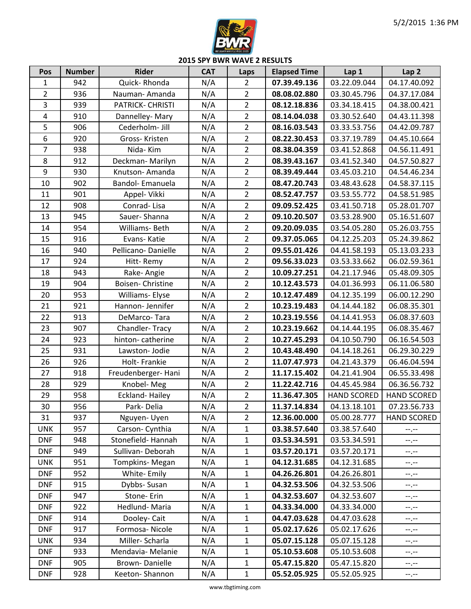

**2015 SPY BWR WAVE 2 RESULTS**

| Pos                     | <b>Number</b> | <b>Rider</b>          | <b>CAT</b> | Laps           | <b>Elapsed Time</b> | Lap 1              | Lap <sub>2</sub>   |
|-------------------------|---------------|-----------------------|------------|----------------|---------------------|--------------------|--------------------|
| $\mathbf{1}$            | 942           | Quick-Rhonda          | N/A        | $\overline{2}$ | 07.39.49.136        | 03.22.09.044       | 04.17.40.092       |
| $\overline{2}$          | 936           | Nauman-Amanda         | N/A        | $\overline{2}$ | 08.08.02.880        | 03.30.45.796       | 04.37.17.084       |
| 3                       | 939           | PATRICK- CHRISTI      | N/A        | $\overline{2}$ | 08.12.18.836        | 03.34.18.415       | 04.38.00.421       |
| $\overline{\mathbf{4}}$ | 910           | Dannelley-Mary        | N/A        | $\overline{2}$ | 08.14.04.038        | 03.30.52.640       | 04.43.11.398       |
| 5                       | 906           | Cederholm- Jill       | N/A        | $\overline{2}$ | 08.16.03.543        | 03.33.53.756       | 04.42.09.787       |
| 6                       | 920           | Gross-Kristen         | N/A        | $\overline{2}$ | 08.22.30.453        | 03.37.19.789       | 04.45.10.664       |
| $\overline{7}$          | 938           | Nida-Kim              | N/A        | $\overline{2}$ | 08.38.04.359        | 03.41.52.868       | 04.56.11.491       |
| 8                       | 912           | Deckman-Marilyn       | N/A        | $\overline{2}$ | 08.39.43.167        | 03.41.52.340       | 04.57.50.827       |
| 9                       | 930           | Knutson-Amanda        | N/A        | $\overline{2}$ | 08.39.49.444        | 03.45.03.210       | 04.54.46.234       |
| 10                      | 902           | Bandol- Emanuela      | N/A        | $\overline{2}$ | 08.47.20.743        | 03.48.43.628       | 04.58.37.115       |
| 11                      | 901           | Appel- Vikki          | N/A        | $\overline{2}$ | 08.52.47.757        | 03.53.55.772       | 04.58.51.985       |
| 12                      | 908           | Conrad-Lisa           | N/A        | $\overline{2}$ | 09.09.52.425        | 03.41.50.718       | 05.28.01.707       |
| 13                      | 945           | Sauer-Shanna          | N/A        | $\overline{2}$ | 09.10.20.507        | 03.53.28.900       | 05.16.51.607       |
| 14                      | 954           | Williams-Beth         | N/A        | $\overline{2}$ | 09.20.09.035        | 03.54.05.280       | 05.26.03.755       |
| 15                      | 916           | Evans-Katie           | N/A        | $\overline{2}$ | 09.37.05.065        | 04.12.25.203       | 05.24.39.862       |
| 16                      | 940           | Pellicano-Danielle    | N/A        | $\overline{2}$ | 09.55.01.426        | 04.41.58.193       | 05.13.03.233       |
| 17                      | 924           | Hitt-Remy             | N/A        | $\overline{2}$ | 09.56.33.023        | 03.53.33.662       | 06.02.59.361       |
| 18                      | 943           | Rake-Angie            | N/A        | $\overline{2}$ | 10.09.27.251        | 04.21.17.946       | 05.48.09.305       |
| 19                      | 904           | Boisen-Christine      | N/A        | $\overline{2}$ | 10.12.43.573        | 04.01.36.993       | 06.11.06.580       |
| 20                      | 953           | Williams- Elyse       | N/A        | $\overline{2}$ | 10.12.47.489        | 04.12.35.199       | 06.00.12.290       |
| 21                      | 921           | Hannon-Jennifer       | N/A        | $\overline{2}$ | 10.23.19.483        | 04.14.44.182       | 06.08.35.301       |
| 22                      | 913           | DeMarco-Tara          | N/A        | $\overline{2}$ | 10.23.19.556        | 04.14.41.953       | 06.08.37.603       |
| 23                      | 907           | Chandler-Tracy        | N/A        | $\overline{2}$ | 10.23.19.662        | 04.14.44.195       | 06.08.35.467       |
| 24                      | 923           | hinton-catherine      | N/A        | $\overline{2}$ | 10.27.45.293        | 04.10.50.790       | 06.16.54.503       |
| 25                      | 931           | Lawston- Jodie        | N/A        | $\overline{2}$ | 10.43.48.490        | 04.14.18.261       | 06.29.30.229       |
| 26                      | 926           | Holt-Frankie          | N/A        | $\overline{2}$ | 11.07.47.973        | 04.21.43.379       | 06.46.04.594       |
| 27                      | 918           | Freudenberger-Hani    | N/A        | $\overline{2}$ | 11.17.15.402        | 04.21.41.904       | 06.55.33.498       |
| 28                      | 929           | Knobel-Meg            | N/A        | $\overline{2}$ | 11.22.42.716        | 04.45.45.984       | 06.36.56.732       |
| 29                      | 958           | <b>Eckland-Hailey</b> | N/A        | $\overline{2}$ | 11.36.47.305        | <b>HAND SCORED</b> | <b>HAND SCORED</b> |
| 30                      | 956           | Park-Delia            | N/A        | $\overline{2}$ | 11.37.14.834        | 04.13.18.101       | 07.23.56.733       |
| 31                      | 937           | Nguyen-Uyen           | N/A        | $\overline{2}$ | 12.36.00.000        | 05.00.28.777       | <b>HAND SCORED</b> |
| <b>UNK</b>              | 957           | Carson- Cynthia       | N/A        | $\mathbf{1}$   | 03.38.57.640        | 03.38.57.640       | $-1, -1$           |
| <b>DNF</b>              | 948           | Stonefield-Hannah     | N/A        | $\mathbf{1}$   | 03.53.34.591        | 03.53.34.591       | $-1, -1$           |
| <b>DNF</b>              | 949           | Sullivan-Deborah      | N/A        | $\mathbf{1}$   | 03.57.20.171        | 03.57.20.171       | $-1$               |
| <b>UNK</b>              | 951           | Tompkins-Megan        | N/A        | $\mathbf{1}$   | 04.12.31.685        | 04.12.31.685       | $-1, -1$           |
| <b>DNF</b>              | 952           | White-Emily           | N/A        | $\mathbf{1}$   | 04.26.26.801        | 04.26.26.801       | $-1, -1$           |
| <b>DNF</b>              | 915           | Dybbs- Susan          | N/A        | $\mathbf 1$    | 04.32.53.506        | 04.32.53.506       | $--, --$           |
| <b>DNF</b>              | 947           | Stone-Erin            | N/A        | $\mathbf{1}$   | 04.32.53.607        | 04.32.53.607       | $-1, -1$           |
| <b>DNF</b>              | 922           | Hedlund-Maria         | N/A        | $\mathbf 1$    | 04.33.34.000        | 04.33.34.000       | $-1, -1$           |
| <b>DNF</b>              | 914           | Dooley-Cait           | N/A        | 1              | 04.47.03.628        | 04.47.03.628       | $-1$ , $-1$        |
| <b>DNF</b>              | 917           | Formosa-Nicole        | N/A        | $\mathbf{1}$   | 05.02.17.626        | 05.02.17.626       | $--, --$           |
| <b>UNK</b>              | 934           | Miller-Scharla        | N/A        | $\mathbf{1}$   | 05.07.15.128        | 05.07.15.128       | $-1, -1$           |
| <b>DNF</b>              | 933           | Mendavia- Melanie     | N/A        | $\mathbf 1$    | 05.10.53.608        | 05.10.53.608       | $-1$               |
| <b>DNF</b>              | 905           | <b>Brown-Danielle</b> | N/A        | $\mathbf 1$    | 05.47.15.820        | 05.47.15.820       | --.--              |
| <b>DNF</b>              | 928           | Keeton-Shannon        | N/A        | $\mathbf{1}$   | 05.52.05.925        | 05.52.05.925       | $-1$               |